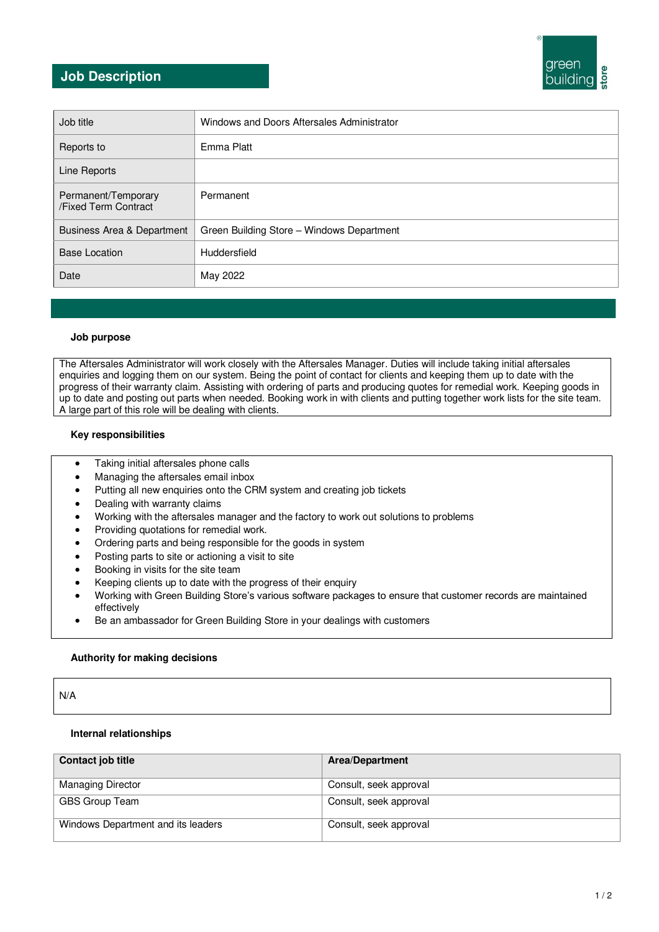# green buildina

### **Job Description**

| Job title                                   | Windows and Doors Aftersales Administrator |
|---------------------------------------------|--------------------------------------------|
| Reports to                                  | Emma Platt                                 |
| Line Reports                                |                                            |
| Permanent/Temporary<br>/Fixed Term Contract | Permanent                                  |
| Business Area & Department                  | Green Building Store - Windows Department  |
| <b>Base Location</b>                        | Huddersfield                               |
| Date                                        | May 2022                                   |

### **Job purpose**

The Aftersales Administrator will work closely with the Aftersales Manager. Duties will include taking initial aftersales enquiries and logging them on our system. Being the point of contact for clients and keeping them up to date with the progress of their warranty claim. Assisting with ordering of parts and producing quotes for remedial work. Keeping goods in up to date and posting out parts when needed. Booking work in with clients and putting together work lists for the site team. A large part of this role will be dealing with clients.

### **Key responsibilities**

- Taking initial aftersales phone calls
- Managing the aftersales email inbox
- Putting all new enquiries onto the CRM system and creating job tickets
- Dealing with warranty claims
- Working with the aftersales manager and the factory to work out solutions to problems
- Providing quotations for remedial work.
- Ordering parts and being responsible for the goods in system
- Posting parts to site or actioning a visit to site
- Booking in visits for the site team
- Keeping clients up to date with the progress of their enquiry
- Working with Green Building Store's various software packages to ensure that customer records are maintained effectively
- Be an ambassador for Green Building Store in your dealings with customers

### **Authority for making decisions**

N/A

### **Internal relationships**

| Contact job title                  | <b>Area/Department</b> |
|------------------------------------|------------------------|
| <b>Managing Director</b>           | Consult, seek approval |
| GBS Group Team                     | Consult, seek approval |
| Windows Department and its leaders | Consult, seek approval |